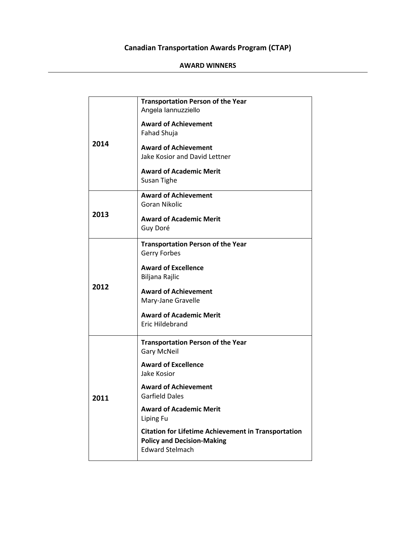## **Canadian Transportation Awards Program (CTAP)**

## **AWARD WINNERS**

| 2014 | <b>Transportation Person of the Year</b><br>Angela lannuzziello                                                           |
|------|---------------------------------------------------------------------------------------------------------------------------|
|      | <b>Award of Achievement</b><br>Fahad Shuja                                                                                |
|      | <b>Award of Achievement</b><br>Jake Kosior and David Lettner                                                              |
|      | <b>Award of Academic Merit</b><br>Susan Tighe                                                                             |
| 2013 | <b>Award of Achievement</b><br>Goran Nikolic                                                                              |
|      | <b>Award of Academic Merit</b><br>Guy Doré                                                                                |
| 2012 | <b>Transportation Person of the Year</b>                                                                                  |
|      | Gerry Forbes                                                                                                              |
|      | <b>Award of Excellence</b><br>Biljana Rajlic                                                                              |
|      | <b>Award of Achievement</b><br>Mary-Jane Gravelle                                                                         |
|      | <b>Award of Academic Merit</b><br>Eric Hildebrand                                                                         |
| 2011 | <b>Transportation Person of the Year</b><br><b>Gary McNeil</b>                                                            |
|      | <b>Award of Excellence</b><br>Jake Kosior                                                                                 |
|      | <b>Award of Achievement</b><br><b>Garfield Dales</b>                                                                      |
|      | <b>Award of Academic Merit</b><br>Liping Fu                                                                               |
|      | <b>Citation for Lifetime Achievement in Transportation</b><br><b>Policy and Decision-Making</b><br><b>Edward Stelmach</b> |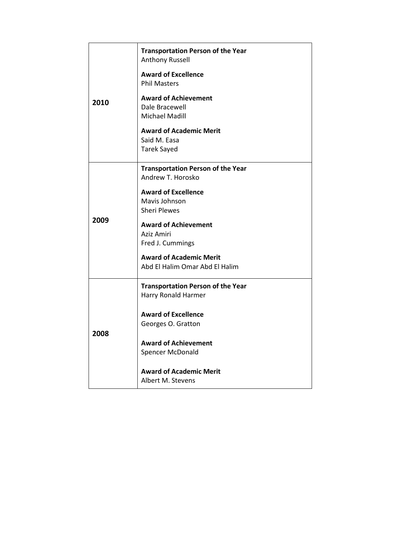| 2010 | <b>Transportation Person of the Year</b><br>Anthony Russell                                                                                                                                                                  |
|------|------------------------------------------------------------------------------------------------------------------------------------------------------------------------------------------------------------------------------|
|      | <b>Award of Excellence</b><br><b>Phil Masters</b>                                                                                                                                                                            |
|      | <b>Award of Achievement</b><br>Dale Bracewell<br>Michael Madill                                                                                                                                                              |
|      | <b>Award of Academic Merit</b><br>Said M. Easa<br><b>Tarek Sayed</b>                                                                                                                                                         |
|      | <b>Transportation Person of the Year</b>                                                                                                                                                                                     |
| 2009 | Andrew T. Horosko<br><b>Award of Excellence</b><br>Mavis Johnson<br><b>Sheri Plewes</b><br><b>Award of Achievement</b><br>Aziz Amiri<br>Fred J. Cummings<br><b>Award of Academic Merit</b><br>Abd El Halim Omar Abd El Halim |
| 2008 | <b>Transportation Person of the Year</b><br>Harry Ronald Harmer<br><b>Award of Excellence</b><br>Georges O. Gratton<br><b>Award of Achievement</b><br>Spencer McDonald<br><b>Award of Academic Merit</b>                     |
|      | Albert M. Stevens                                                                                                                                                                                                            |